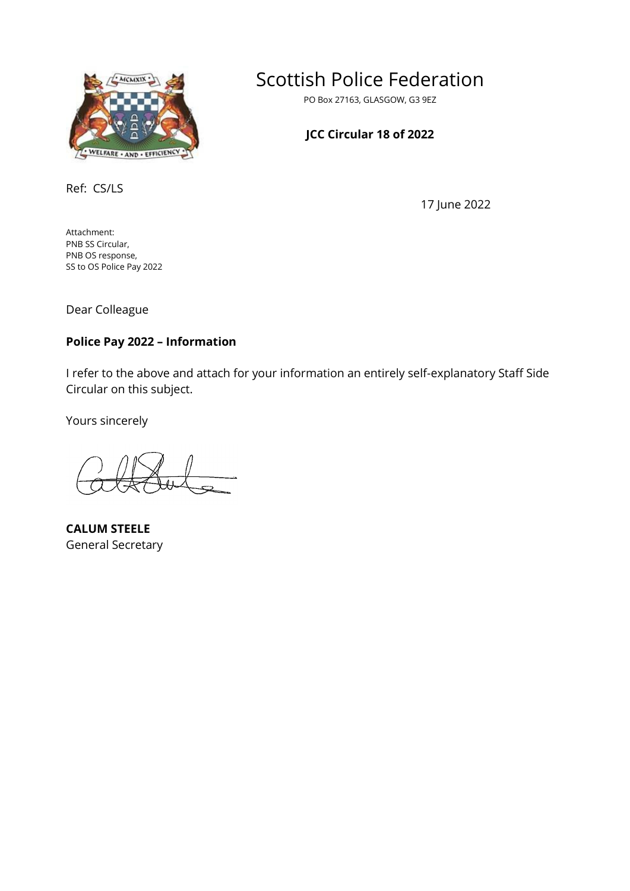

Scottish Police Federation

PO Box 27163, GLASGOW, G3 9EZ

# **JCC Circular 18 of 2022**

Ref: CS/LS

17 June 2022

Attachment: PNB SS Circular, PNB OS response, SS to OS Police Pay 2022

Dear Colleague

### **Police Pay 2022 – Information**

I refer to the above and attach for your information an entirely self-explanatory Staff Side Circular on this subject.

Yours sincerely

**CALUM STEELE** General Secretary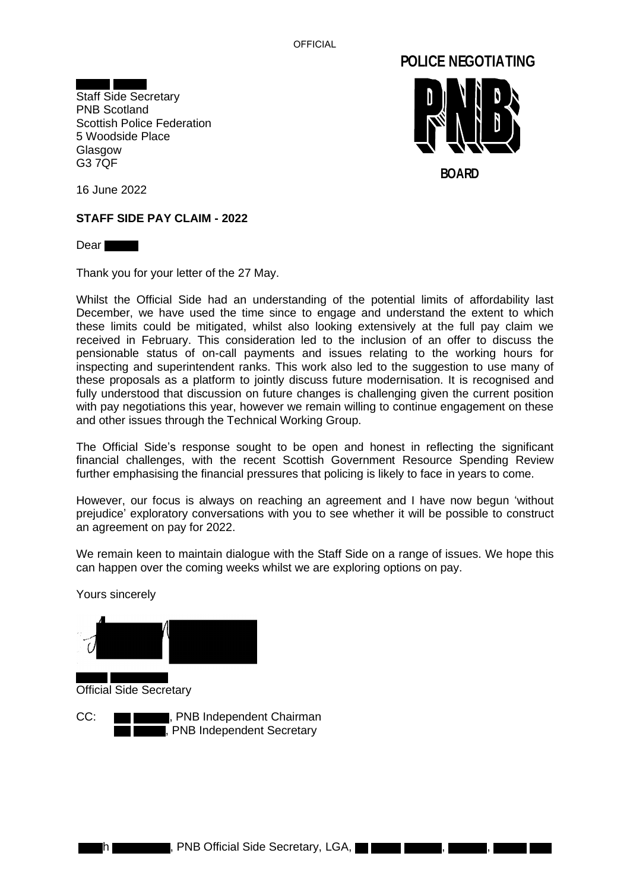**OFFICIAL** 



Staff Side Secretary PNB Scotland Scottish Police Federation 5 Woodside Place Glasgow G3 7QF



16 June 2022

#### **STAFF SIDE PAY CLAIM - 2022**

Dear **The Dear** 

Thank you for your letter of the 27 May.

Whilst the Official Side had an understanding of the potential limits of affordability last December, we have used the time since to engage and understand the extent to which these limits could be mitigated, whilst also looking extensively at the full pay claim we received in February. This consideration led to the inclusion of an offer to discuss the pensionable status of on-call payments and issues relating to the working hours for inspecting and superintendent ranks. This work also led to the suggestion to use many of these proposals as a platform to jointly discuss future modernisation. It is recognised and fully understood that discussion on future changes is challenging given the current position with pay negotiations this year, however we remain willing to continue engagement on these and other issues through the Technical Working Group.

The Official Side's response sought to be open and honest in reflecting the significant financial challenges, with the recent Scottish Government Resource Spending Review further emphasising the financial pressures that policing is likely to face in years to come.

However, our focus is always on reaching an agreement and I have now begun 'without prejudice' exploratory conversations with you to see whether it will be possible to construct an agreement on pay for 2022.

We remain keen to maintain dialogue with the Staff Side on a range of issues. We hope this can happen over the coming weeks whilst we are exploring options on pay.

Yours sincerely

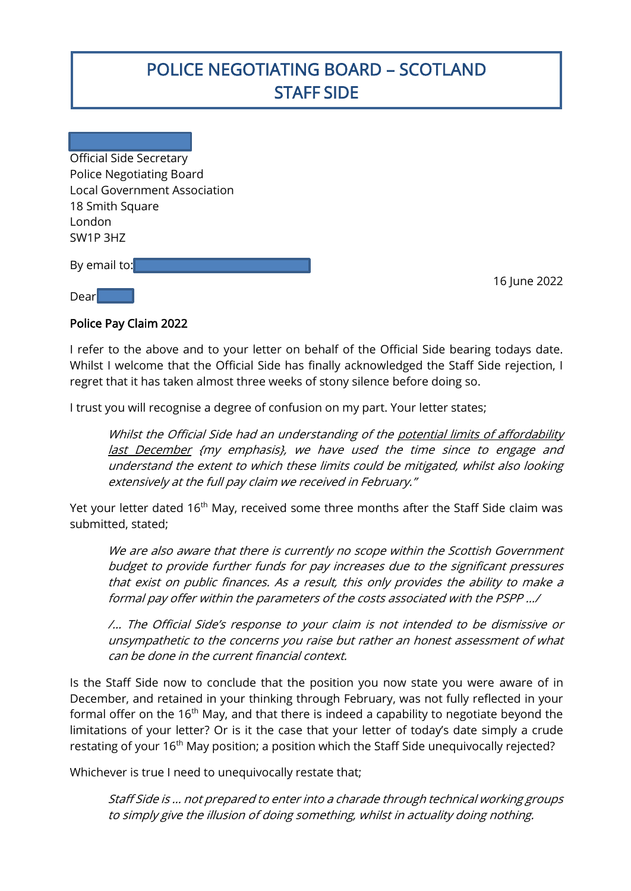# POLICE NEGOTIATING BOARD – SCOTLAND STAFF SIDE

Official Side Secretary Police Negotiating Board Local Government Association 18 Smith Square London SW1P 3HZ

By email to:

16 June 2022

Dear

I

#### Police Pay Claim 2022

I refer to the above and to your letter on behalf of the Official Side bearing todays date. Whilst I welcome that the Official Side has finally acknowledged the Staff Side rejection, I regret that it has taken almost three weeks of stony silence before doing so.

I trust you will recognise a degree of confusion on my part. Your letter states;

Whilst the Official Side had an understanding of the potential limits of affordability last December {my emphasis}, we have used the time since to engage and understand the extent to which these limits could be mitigated, whilst also looking extensively at the full pay claim we received in February."

Yet your letter dated 16<sup>th</sup> May, received some three months after the Staff Side claim was submitted, stated;

We are also aware that there is currently no scope within the Scottish Government budget to provide further funds for pay increases due to the significant pressures that exist on public finances. As a result, this only provides the ability to make a formal pay offer within the parameters of the costs associated with the PSPP …/

/… The Official Side's response to your claim is not intended to be dismissive or unsympathetic to the concerns you raise but rather an honest assessment of what can be done in the current financial context.

Is the Staff Side now to conclude that the position you now state you were aware of in December, and retained in your thinking through February, was not fully reflected in your formal offer on the  $16<sup>th</sup>$  May, and that there is indeed a capability to negotiate beyond the limitations of your letter? Or is it the case that your letter of today's date simply a crude restating of your  $16<sup>th</sup>$  May position; a position which the Staff Side unequivocally rejected?

Whichever is true I need to unequivocally restate that;

Staff Side is … not prepared to enter into a charade through technical working groups to simply give the illusion of doing something, whilst in actuality doing nothing.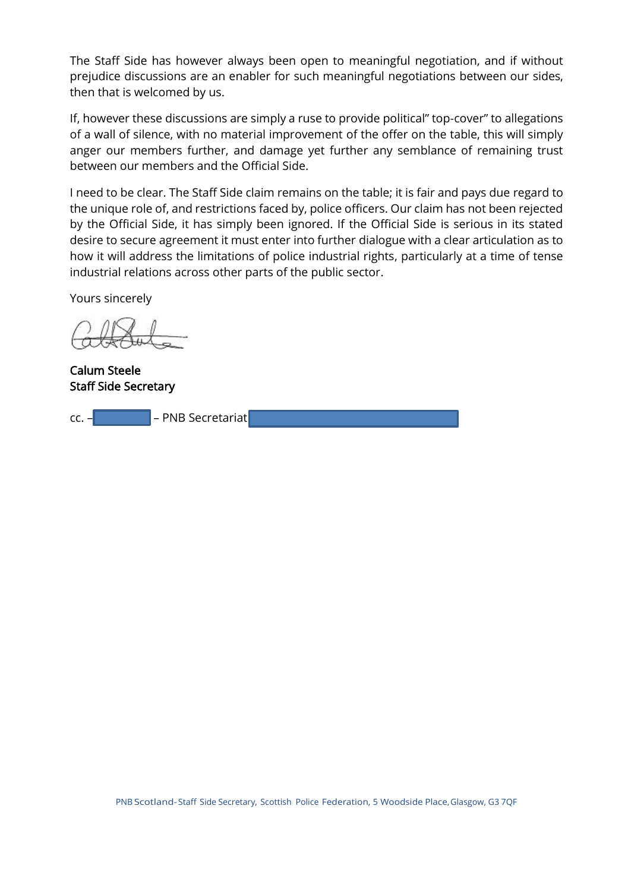The Staff Side has however always been open to meaningful negotiation, and if without prejudice discussions are an enabler for such meaningful negotiations between our sides, then that is welcomed by us.

If, however these discussions are simply a ruse to provide political" top-cover" to allegations of a wall of silence, with no material improvement of the offer on the table, this will simply anger our members further, and damage yet further any semblance of remaining trust between our members and the Official Side.

I need to be clear. The Staff Side claim remains on the table; it is fair and pays due regard to the unique role of, and restrictions faced by, police officers. Our claim has not been rejected by the Official Side, it has simply been ignored. If the Official Side is serious in its stated desire to secure agreement it must enter into further dialogue with a clear articulation as to how it will address the limitations of police industrial rights, particularly at a time of tense industrial relations across other parts of the public sector.

Yours sincerely

Calum Steele Staff Side Secretary

cc. – – PNB Secretariat